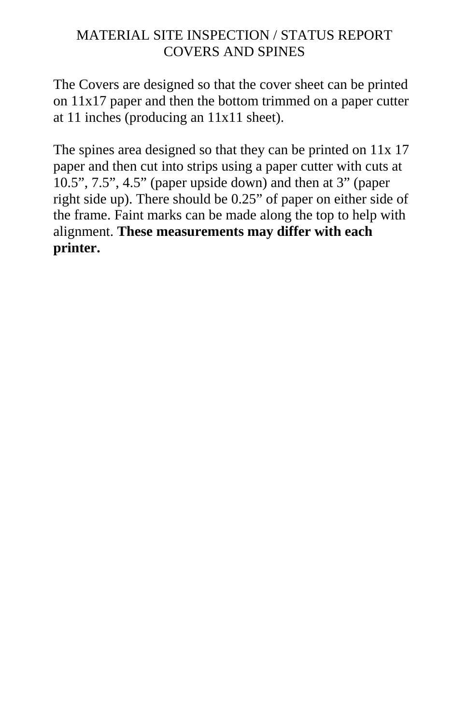## MATERIAL SITE INSPECTION / STATUS REPORT COVERS AND SPINES

The Covers are designed so that the cover sheet can be printed on 11x17 paper and then the bottom trimmed on a paper cutter at 11 inches (producing an 11x11 sheet).

The spines area designed so that they can be printed on  $11x 17$ paper and then cut into strips using a paper cutter with cuts at 10.5", 7.5", 4.5" (paper upside down) and then at 3" (paper right side up). There should be 0.25" of paper on either side of the frame. Faint marks can be made along the top to help with alignment. **These measurements may differ with each printer.**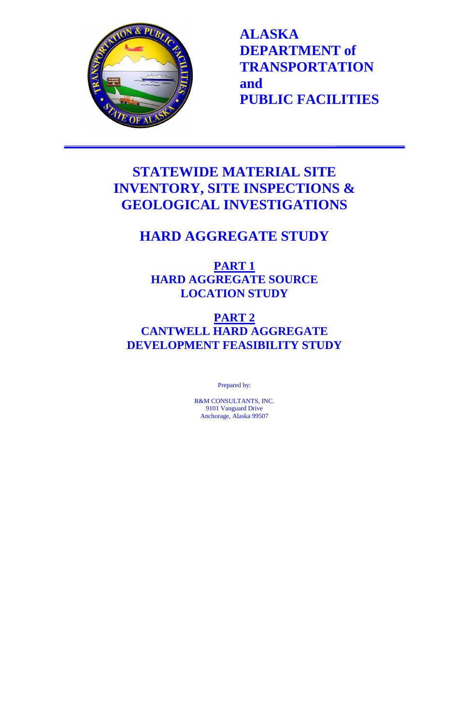

**ALASKA DEPARTMENT of TRANSPORTATION and PUBLIC FACILITIES**

## **STATEWIDE MATERIAL SITE INVENTORY, SITE INSPECTIONS & GEOLOGICAL INVESTIGATIONS**

## **HARD AGGREGATE STUDY**

**PART 1 HARD AGGREGATE SOURCE LOCATION STUDY**

## **PART 2 CANTWELL HARD AGGREGATE DEVELOPMENT FEASIBILITY STUDY**

Prepared by:

R&M CONSULTANTS, INC. 9101 Vanguard Drive Anchorage, Alaska 99507